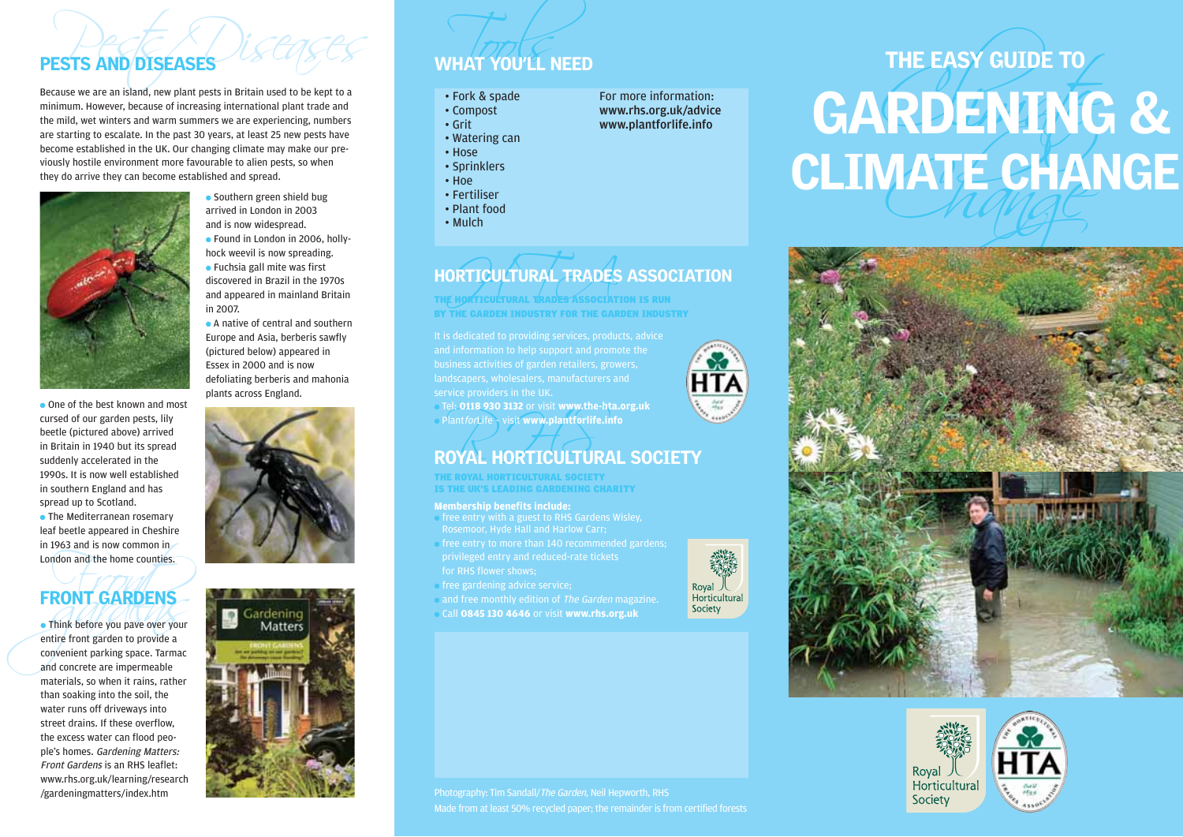## PESTS AND DISEASES

Because we are an island, new plant pests in Britain used to be kept to a minimum. However, because of increasing international plant trade and the mild, wet winters and warm summers we are experiencing, numbers are starting to escalate. In the past 30 years, at least 25 new pests have become established in the UK. Our changing climate may make our previously hostile environment more favourable to alien pests, so when they do arrive they can become established and spread.



cursed of our garden pests, lily beetle (pictured above) arrived in Britain in 1940 but its spread suddenly accelerated in the 1990s. It is now well established in southern England and has spread up to Scotland. ● The Mediterranean rosemary leaf beetle appeared in Cheshire in 1963 and is now common in London and the home counties.

● Southern green shield bug arrived in London in 2003 and is now widespread. ● Found in London in 2006, hollyhock weevil is now spreading.  $\bullet$  Fuchsia gall mite was first discovered in Brazil in the 1970s and appeared in mainland Britain in 2007.

● A native of central and southern Europe and Asia, berberis sawfly (pictured below) appeared in Essex in 2000 and is now defoliating berberis and mahonia plants across England.



## FRONT GARDENS

In 1963 and is now common in<br>London and the home counties.<br>
FRONT GARDENS<br>
• Think before you pave over your<br>
entire front garden to provide a<br>
convenient parking space. Tarmac<br>
and concrete are impermeable ● Think before you pave over your entire front garden to provide a convenient parking space. Tarmac and concrete are impermeable materials, so when it rains, rather than soaking into the soil, the water runs off driveways into street drains. If these overflow, the excess water can flood people's homes. Gardening Matters: Front Gardens is an RHS leaflet: www.rhs.org.uk/learning/research /gardeningmatters/index.htm

# ORTICULTURAL TRADES HORTICULTURAL TRADES ASSOCIATION

THE HORTICULTURAL TRADES ASSOCIATION IS RUN BY THE GARDEN INDUSTRY FOR THE GARDEN INDUSTRY

WHAT YOU'LL NEED

● Tel: **0118 930 3132** or visit **www.the-hta.org.uk** ● PlantforLife – visit **www.plantforlife.info**

# Plant*for*Life Sau Sisz of Visit www.the-hta.org.uk<br>Plant*forLife* Svisit www.plantforlife.info<br>ROYAL HORTICULTURAL SOCIETY

THE ROYAL HORTICULTURAL SOCIETY IS THE UK'S LEADING GARDENING CHARITY

### **Membership benefits include:**

- free entry with a guest to RHS Gardens Wisley, Rosemoor, Hyde Hall and Harlow Carr;
- free entry to more than 140 recommended gardens; for RHS flower shows;
- free gardening advice service;
- and free monthly edition of The Garden magazine.
- Call **0845 130 4646** or visit **www.rhs.org.uk**











Made from at least 50% recycled paper; the remainder is from certified forests

Royal Horticultural Society